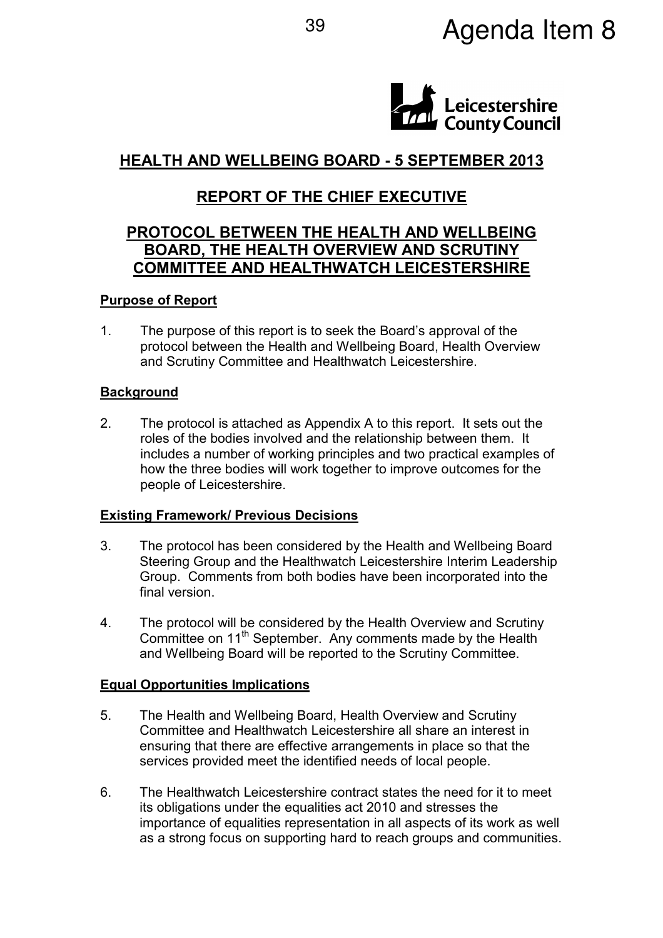# <sup>39</sup> Agenda Item 8



## HEALTH AND WELLBEING BOARD - 5 SEPTEMBER 2013

## REPORT OF THE CHIEF EXECUTIVE

### PROTOCOL BETWEEN THE HEALTH AND WELLBEING BOARD, THE HEALTH OVERVIEW AND SCRUTINY COMMITTEE AND HEALTHWATCH LEICESTERSHIRE

#### Purpose of Report

1. The purpose of this report is to seek the Board's approval of the protocol between the Health and Wellbeing Board, Health Overview and Scrutiny Committee and Healthwatch Leicestershire.

#### **Background**

2. The protocol is attached as Appendix A to this report. It sets out the roles of the bodies involved and the relationship between them. It includes a number of working principles and two practical examples of how the three bodies will work together to improve outcomes for the people of Leicestershire.

#### Existing Framework/ Previous Decisions

- 3. The protocol has been considered by the Health and Wellbeing Board Steering Group and the Healthwatch Leicestershire Interim Leadership Group. Comments from both bodies have been incorporated into the final version.
- 4. The protocol will be considered by the Health Overview and Scrutiny Committee on 11<sup>th</sup> September. Any comments made by the Health and Wellbeing Board will be reported to the Scrutiny Committee.

#### Equal Opportunities Implications

- 5. The Health and Wellbeing Board, Health Overview and Scrutiny Committee and Healthwatch Leicestershire all share an interest in ensuring that there are effective arrangements in place so that the services provided meet the identified needs of local people.
- 6. The Healthwatch Leicestershire contract states the need for it to meet its obligations under the equalities act 2010 and stresses the importance of equalities representation in all aspects of its work as well as a strong focus on supporting hard to reach groups and communities.